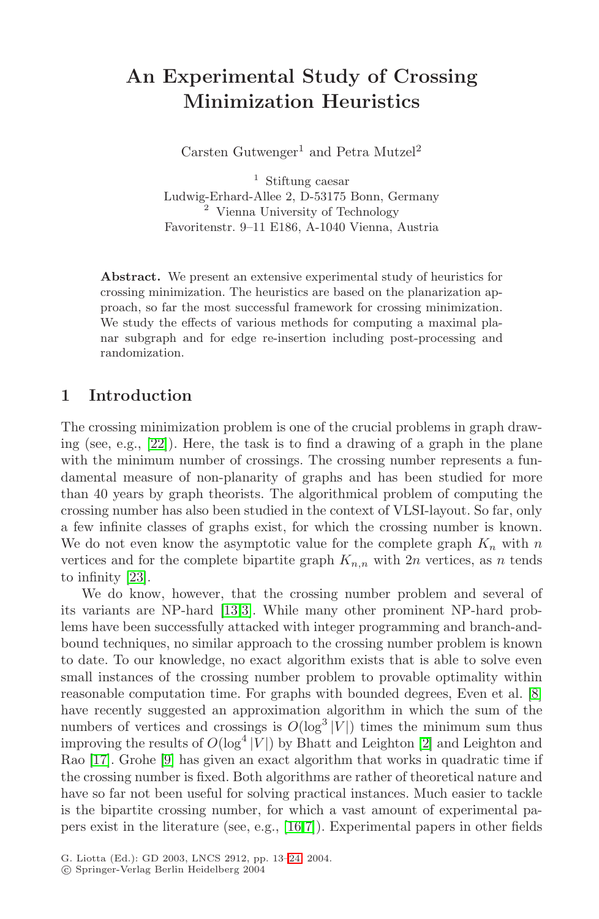# **An Experimental Study of Crossing Minimization Heuristics**

Carsten Gutwenger<sup>1</sup> and Petra Mutzel<sup>2</sup>

<sup>1</sup> Stiftung caesar Ludwig-Erhard-Allee 2, D-53175 Bonn, Germany <sup>2</sup> Vienna University of Technology Favoritenstr. 9–11 E186, A-1040 Vienna, Austria

**Abstract.** We present an extensive experimental study of heuristics for crossing minimization. The heuristics are based on the planarization approach, so far the most successful framework for crossing minimization. We study the effects of various methods for computing a maximal planar subgraph and for edge re-insertion including post-processing and randomization.

# **1 Introduction**

The crossing minimization problem is one of the crucial problems in graph drawing (see, e.g., [\[22\]](#page-11-0)). Here, the task is to find a drawing of a graph in the plane with the minimum number of crossings. The crossing number represents a fundamental measure of non-planarity of graphs and has been studied for more than 40 years by graph theorists. The algorithmical problem of computing the crossing number has also been studied in the context of VLSI-layout. So far, only a few infinite classes of graphs exist, for which the crossing number is known. We do not even know the asymptotic value for the complete graph  $K_n$  with n vertices and for the complete bipartite graph  $K_{n,n}$  with  $2n$  vertices, as n tends to infinity [\[23\]](#page-11-0).

We do know, however, that the crossing number problem and several of its variants are NP-hard [\[13,](#page-11-0)[3\]](#page-10-0). While many other prominent NP-hard problems have been successfully attacked with integer programming and branch-andbound techniques, no similar approach to the crossing number problem is known to date. To our knowledge, no exact algorithm exists that is able to solve even small instances of the crossing number problem to provable optimality within reasonable computation time. For graphs with bounded degrees, Even et al. [\[8\]](#page-11-0) have recently suggested an approximation algorithm in which the sum of the numbers of vertices and crossings is  $O(\log^3 |V|)$  times the minimum sum thus improving the results of  $O(\log^4 |V|)$  by Bhatt and Leighton [\[2\]](#page-10-0) and Leighton and Rao [\[17\]](#page-11-0). Grohe [\[9\]](#page-11-0) has given an exact algorithm that works in quadratic time if the crossing number is fixed. Both algorithms are rather of theoretical nature and have so far not been useful for solving practical instances. Much easier to tackle is the bipartite crossing number, for which a vast amount of experimental papers exist in the literature (see, e.g., [\[16,7\]](#page-11-0)). Experimental papers in other fields

G. Liotta (Ed.): GD 2003, LNCS 2912, pp. 13[–24,](#page-11-0) 2004.

c Springer-Verlag Berlin Heidelberg 2004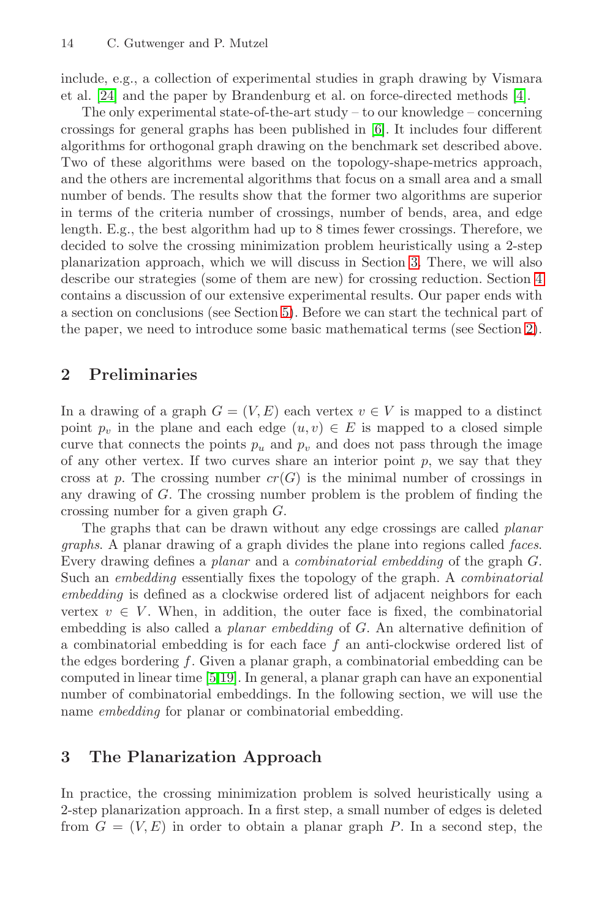include, e.g., a collection of experimental studies in graph drawing by Vismara et al.  $[24]$  and the paper by Brandenburg et al. on force-directed methods  $[4]$ .

The only experimental state-of-the-art study – to our knowledge – concerning crossings for general graphs has been published in [\[6\]](#page-11-0). It includes four different algorithms for orthogonal graph drawing on the benchmark set described above. Two of these algorithms were based on the topology-shape-metrics approach, and the others are incremental algorithms that focus on a small area and a small number of bends. The results show that the former two algorithms are superior in terms of the criteria number of crossings, number of bends, area, and edge length. E.g., the best algorithm had up to 8 times fewer crossings. Therefore, we decided to solve the crossing minimization problem heuristically using a 2-step planarization approach, which we will discuss in Section 3. There, we will also describe our strategies (some of them are new) for crossing reduction. Section [4](#page-4-0) contains a discussion of our extensive experimental results. Our paper ends with a section on conclusions (see Section [5\)](#page-9-0). Before we can start the technical part of the paper, we need to introduce some basic mathematical terms (see Section 2).

# **2 Preliminaries**

In a drawing of a graph  $G = (V, E)$  each vertex  $v \in V$  is mapped to a distinct point  $p_v$  in the plane and each edge  $(u, v) \in E$  is mapped to a closed simple curve that connects the points  $p_u$  and  $p_v$  and does not pass through the image of any other vertex. If two curves share an interior point  $p$ , we say that they cross at p. The crossing number  $cr(G)$  is the minimal number of crossings in any drawing of G. The crossing number problem is the problem of finding the crossing number for a given graph G.

The graphs that can be drawn without any edge crossings are called planar graphs. A planar drawing of a graph divides the plane into regions called faces. Every drawing defines a planar and a combinatorial embedding of the graph G. Such an embedding essentially fixes the topology of the graph. A combinatorial embedding is defined as a clockwise ordered list of adjacent neighbors for each vertex  $v \in V$ . When, in addition, the outer face is fixed, the combinatorial embedding is also called a planar embedding of G. An alternative definition of a combinatorial embedding is for each face f an anti-clockwise ordered list of the edges bordering f. Given a planar graph, a combinatorial embedding can be computed in linear time [\[5,19\]](#page-11-0). In general, a planar graph can have an exponential number of combinatorial embeddings. In the following section, we will use the name embedding for planar or combinatorial embedding.

# **3 The Planarization Approach**

In practice, the crossing minimization problem is solved heuristically using a 2-step planarization approach. In a first step, a small number of edges is deleted from  $G = (V, E)$  in order to obtain a planar graph P. In a second step, the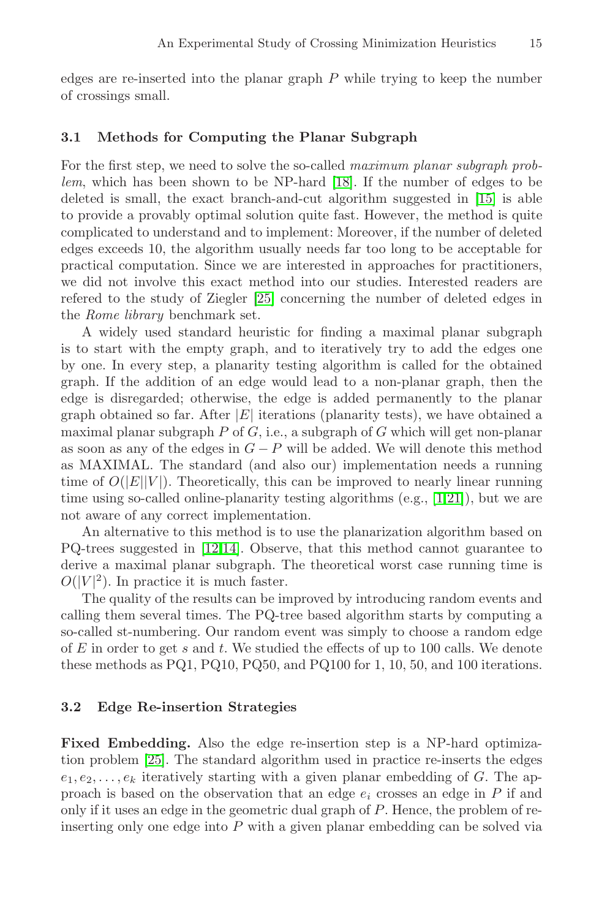<span id="page-2-0"></span>edges are re-inserted into the planar graph  $P$  while trying to keep the number of crossings small.

#### **3.1 Methods for Computing the Planar Subgraph**

For the first step, we need to solve the so-called *maximum planar subgraph prob*lem, which has been shown to be NP-hard [\[18\]](#page-11-0). If the number of edges to be deleted is small, the exact branch-and-cut algorithm suggested in  $[15]$  is able to provide a provably optimal solution quite fast. However, the method is quite complicated to understand and to implement: Moreover, if the number of deleted edges exceeds 10, the algorithm usually needs far too long to be acceptable for practical computation. Since we are interested in approaches for practitioners, we did not involve this exact method into our studies. Interested readers are refered to the study of Ziegler [\[25\]](#page-11-0) concerning the number of deleted edges in the Rome library benchmark set.

A widely used standard heuristic for finding a maximal planar subgraph is to start with the empty graph, and to iteratively try to add the edges one by one. In every step, a planarity testing algorithm is called for the obtained graph. If the addition of an edge would lead to a non-planar graph, then the edge is disregarded; otherwise, the edge is added permanently to the planar graph obtained so far. After  $|E|$  iterations (planarity tests), we have obtained a maximal planar subgraph  $P$  of  $G$ , i.e., a subgraph of  $G$  which will get non-planar as soon as any of the edges in  $G - P$  will be added. We will denote this method as MAXIMAL. The standard (and also our) implementation needs a running time of  $O(|E||V|)$ . Theoretically, this can be improved to nearly linear running time using so-called online-planarity testing algorithms (e.g., [\[1](#page-10-0)[,21\]](#page-11-0)), but we are not aware of any correct implementation.

An alternative to this method is to use the planarization algorithm based on PQ-trees suggested in [\[12,14\]](#page-11-0). Observe, that this method cannot guarantee to derive a maximal planar subgraph. The theoretical worst case running time is  $O(|V|^2)$ . In practice it is much faster.

The quality of the results can be improved by introducing random events and calling them several times. The PQ-tree based algorithm starts by computing a so-called st-numbering. Our random event was simply to choose a random edge of  $E$  in order to get  $s$  and  $t$ . We studied the effects of up to 100 calls. We denote these methods as PQ1, PQ10, PQ50, and PQ100 for 1, 10, 50, and 100 iterations.

#### **3.2 Edge Re-insertion Strategies**

**Fixed Embedding.** Also the edge re-insertion step is a NP-hard optimization problem [\[25\]](#page-11-0). The standard algorithm used in practice re-inserts the edges  $e_1, e_2, \ldots, e_k$  iteratively starting with a given planar embedding of G. The approach is based on the observation that an edge  $e_i$  crosses an edge in P if and only if it uses an edge in the geometric dual graph of P. Hence, the problem of reinserting only one edge into  $P$  with a given planar embedding can be solved via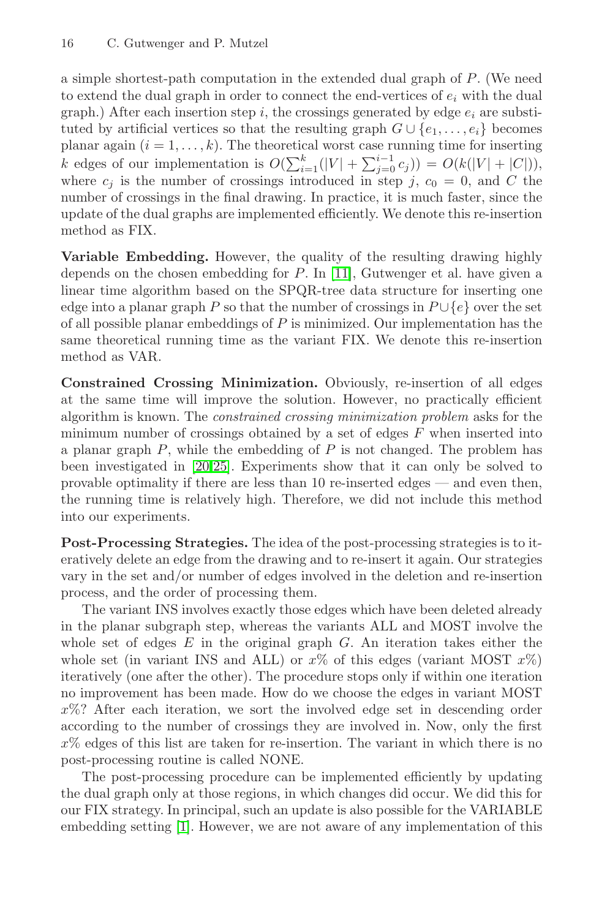a simple shortest-path computation in the extended dual graph of P. (We need to extend the dual graph in order to connect the end-vertices of  $e_i$  with the dual graph.) After each insertion step i, the crossings generated by edge  $e_i$  are substituted by artificial vertices so that the resulting graph  $G \cup \{e_1,\ldots,e_i\}$  becomes planar again  $(i = 1, \ldots, k)$ . The theoretical worst case running time for inserting k edges of our implementation is  $O(\sum_{i=1}^{k}(|V| + \sum_{j=0}^{i-1} c_j)) = O(k(|V| + |C|)),$ where  $c_i$  is the number of crossings introduced in step j,  $c_0 = 0$ , and C the number of crossings in the final drawing. In practice, it is much faster, since the update of the dual graphs are implemented efficiently. We denote this re-insertion method as FIX.

**Variable Embedding.** However, the quality of the resulting drawing highly depends on the chosen embedding for P. In [\[11\]](#page-11-0), Gutwenger et al. have given a linear time algorithm based on the SPQR-tree data structure for inserting one edge into a planar graph P so that the number of crossings in  $P \cup \{e\}$  over the set of all possible planar embeddings of  $P$  is minimized. Our implementation has the same theoretical running time as the variant FIX. We denote this re-insertion method as VAR.

**Constrained Crossing Minimization.** Obviously, re-insertion of all edges at the same time will improve the solution. However, no practically efficient algorithm is known. The constrained crossing minimization problem asks for the minimum number of crossings obtained by a set of edges  $F$  when inserted into a planar graph  $P$ , while the embedding of  $P$  is not changed. The problem has been investigated in [\[20,25\]](#page-11-0). Experiments show that it can only be solved to provable optimality if there are less than 10 re-inserted edges — and even then, the running time is relatively high. Therefore, we did not include this method into our experiments.

**Post-Processing Strategies.** The idea of the post-processing strategies is to iteratively delete an edge from the drawing and to re-insert it again. Our strategies vary in the set and/or number of edges involved in the deletion and re-insertion process, and the order of processing them.

The variant INS involves exactly those edges which have been deleted already in the planar subgraph step, whereas the variants ALL and MOST involve the whole set of edges  $E$  in the original graph  $G$ . An iteration takes either the whole set (in variant INS and ALL) or  $x\%$  of this edges (variant MOST  $x\%$ ) iteratively (one after the other). The procedure stops only if within one iteration no improvement has been made. How do we choose the edges in variant MOST x%? After each iteration, we sort the involved edge set in descending order according to the number of crossings they are involved in. Now, only the first  $x\%$  edges of this list are taken for re-insertion. The variant in which there is no post-processing routine is called NONE.

The post-processing procedure can be implemented efficiently by updating the dual graph only at those regions, in which changes did occur. We did this for our FIX strategy. In principal, such an update is also possible for the VARIABLE embedding setting [\[1\]](#page-10-0). However, we are not aware of any implementation of this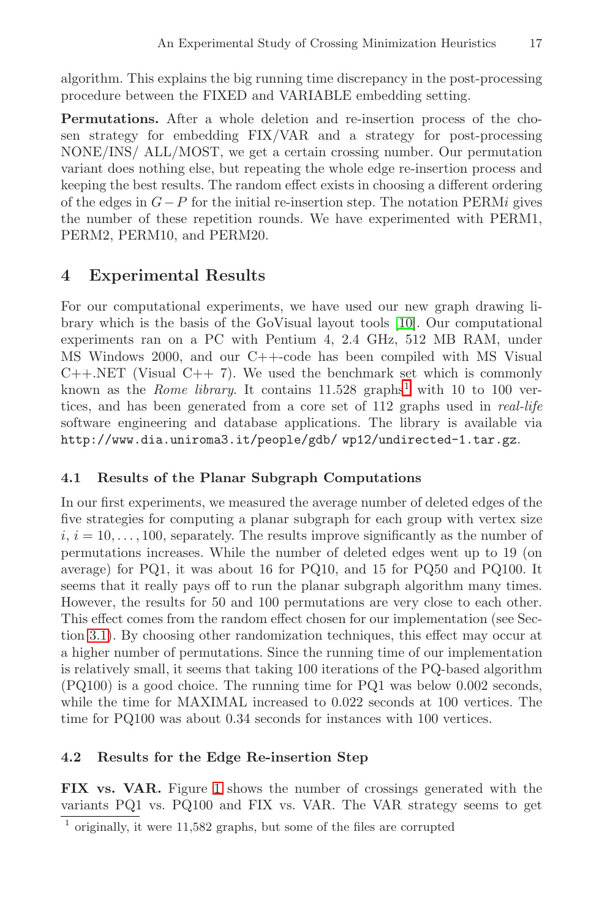<span id="page-4-0"></span>algorithm. This explains the big running time discrepancy in the post-processing procedure between the FIXED and VARIABLE embedding setting.

**Permutations.** After a whole deletion and re-insertion process of the chosen strategy for embedding FIX/VAR and a strategy for post-processing NONE/INS/ ALL/MOST, we get a certain crossing number. Our permutation variant does nothing else, but repeating the whole edge re-insertion process and keeping the best results. The random effect exists in choosing a different ordering of the edges in  $G-P$  for the initial re-insertion step. The notation PERMi gives the number of these repetition rounds. We have experimented with PERM1, PERM2, PERM10, and PERM20.

# **4 Experimental Results**

For our computational experiments, we have used our new graph drawing library which is the basis of the GoVisual layout tools [\[10\]](#page-11-0). Our computational experiments ran on a PC with Pentium 4, 2.4 GHz, 512 MB RAM, under MS Windows 2000, and our C++-code has been compiled with MS Visual  $C++.NET$  (Visual  $C++7$ ). We used the benchmark set which is commonly known as the *Rome library*. It contains  $11.528$  graphs<sup>1</sup> with 10 to 100 vertices, and has been generated from a core set of 112 graphs used in real-life software engineering and database applications. The library is available via http://www.dia.uniroma3.it/people/gdb/ wp12/undirected-1.tar.gz.

# **4.1 Results of the Planar Subgraph Computations**

In our first experiments, we measured the average number of deleted edges of the five strategies for computing a planar subgraph for each group with vertex size  $i, i = 10, \ldots, 100$ , separately. The results improve significantly as the number of permutations increases. While the number of deleted edges went up to 19 (on average) for PQ1, it was about 16 for PQ10, and 15 for PQ50 and PQ100. It seems that it really pays off to run the planar subgraph algorithm many times. However, the results for 50 and 100 permutations are very close to each other. This effect comes from the random effect chosen for our implementation (see Section [3.1\)](#page-2-0). By choosing other randomization techniques, this effect may occur at a higher number of permutations. Since the running time of our implementation is relatively small, it seems that taking 100 iterations of the PQ-based algorithm (PQ100) is a good choice. The running time for PQ1 was below 0.002 seconds, while the time for MAXIMAL increased to 0.022 seconds at 100 vertices. The time for PQ100 was about 0.34 seconds for instances with 100 vertices.

# **4.2 Results for the Edge Re-insertion Step**

**FIX vs. VAR.** Figure [1](#page-5-0) shows the number of crossings generated with the variants PQ1 vs. PQ100 and FIX vs. VAR. The VAR strategy seems to get

<sup>1</sup> originally, it were 11,582 graphs, but some of the files are corrupted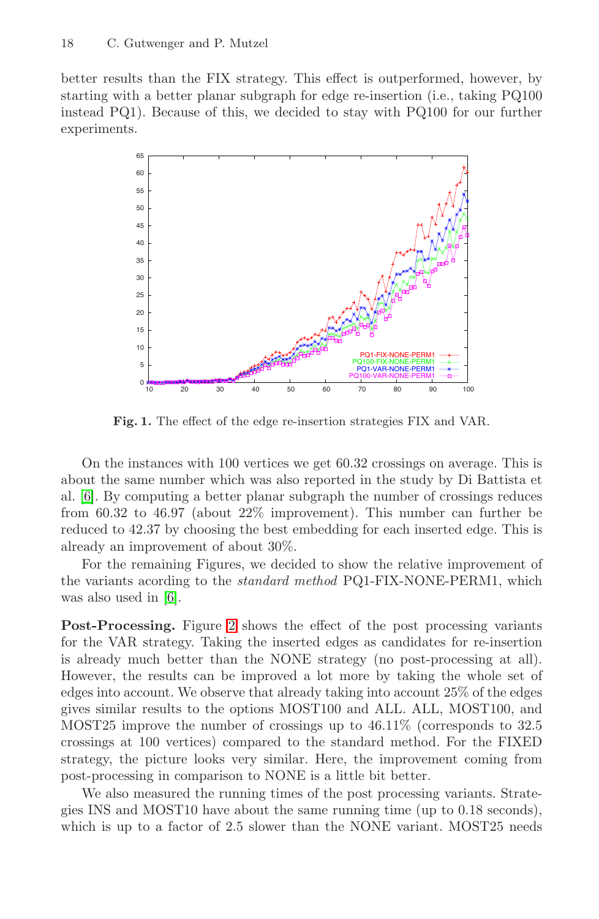<span id="page-5-0"></span>better results than the FIX strategy. This effect is outperformed, however, by starting with a better planar subgraph for edge re-insertion (i.e., taking PQ100 instead PQ1). Because of this, we decided to stay with PQ100 for our further experiments.



**Fig. 1.** The effect of the edge re-insertion strategies FIX and VAR.

On the instances with 100 vertices we get 60.32 crossings on average. This is about the same number which was also reported in the study by Di Battista et al. [\[6\]](#page-11-0). By computing a better planar subgraph the number of crossings reduces from 60.32 to 46.97 (about 22% improvement). This number can further be reduced to 42.37 by choosing the best embedding for each inserted edge. This is already an improvement of about 30%.

For the remaining Figures, we decided to show the relative improvement of the variants acording to the standard method PQ1-FIX-NONE-PERM1, which was also used in [\[6\]](#page-11-0).

**Post-Processing.** Figure [2](#page-6-0) shows the effect of the post processing variants for the VAR strategy. Taking the inserted edges as candidates for re-insertion is already much better than the NONE strategy (no post-processing at all). However, the results can be improved a lot more by taking the whole set of edges into account. We observe that already taking into account 25% of the edges gives similar results to the options MOST100 and ALL. ALL, MOST100, and MOST25 improve the number of crossings up to 46.11% (corresponds to 32.5 crossings at 100 vertices) compared to the standard method. For the FIXED strategy, the picture looks very similar. Here, the improvement coming from post-processing in comparison to NONE is a little bit better.

We also measured the running times of the post processing variants. Strategies INS and MOST10 have about the same running time (up to 0.18 seconds), which is up to a factor of 2.5 slower than the NONE variant. MOST25 needs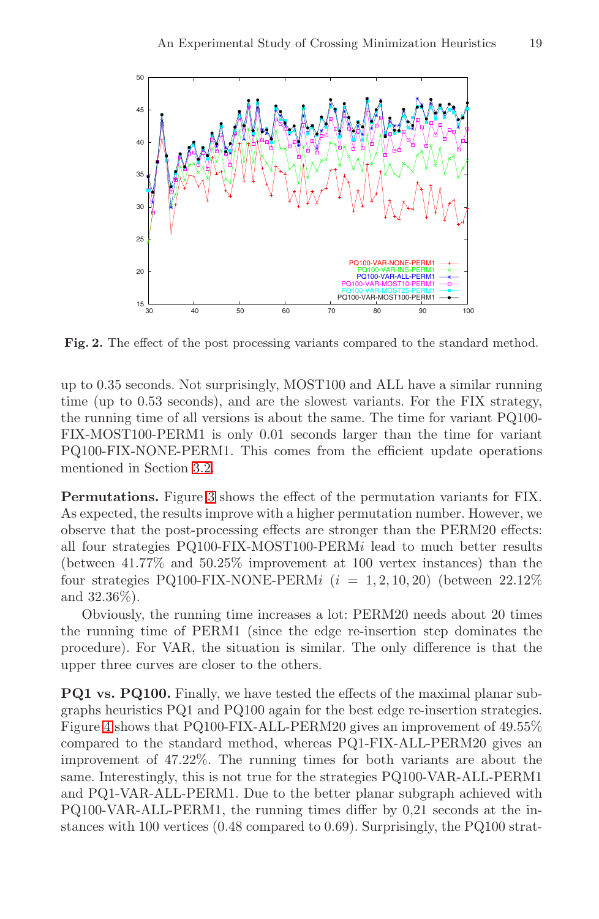<span id="page-6-0"></span>

**Fig. 2.** The effect of the post processing variants compared to the standard method.

up to 0.35 seconds. Not surprisingly, MOST100 and ALL have a similar running time (up to 0.53 seconds), and are the slowest variants. For the FIX strategy, the running time of all versions is about the same. The time for variant PQ100- FIX-MOST100-PERM1 is only 0.01 seconds larger than the time for variant PQ100-FIX-NONE-PERM1. This comes from the efficient update operations mentioned in Section [3.2.](#page-2-0)

**Permutations.** Figure [3](#page-7-0) shows the effect of the permutation variants for FIX. As expected, the results improve with a higher permutation number. However, we observe that the post-processing effects are stronger than the PERM20 effects: all four strategies PQ100-FIX-MOST100-PERMi lead to much better results (between 41.77% and 50.25% improvement at 100 vertex instances) than the four strategies PQ100-FIX-NONE-PERMi  $(i = 1, 2, 10, 20)$  (between 22.12%) and 32.36%).

Obviously, the running time increases a lot: PERM20 needs about 20 times the running time of PERM1 (since the edge re-insertion step dominates the procedure). For VAR, the situation is similar. The only difference is that the upper three curves are closer to the others.

**PQ1 vs. PQ100.** Finally, we have tested the effects of the maximal planar subgraphs heuristics PQ1 and PQ100 again for the best edge re-insertion strategies. Figure [4](#page-7-0) shows that PQ100-FIX-ALL-PERM20 gives an improvement of 49.55% compared to the standard method, whereas PQ1-FIX-ALL-PERM20 gives an improvement of 47.22%. The running times for both variants are about the same. Interestingly, this is not true for the strategies PQ100-VAR-ALL-PERM1 and PQ1-VAR-ALL-PERM1. Due to the better planar subgraph achieved with PQ100-VAR-ALL-PERM1, the running times differ by 0,21 seconds at the instances with 100 vertices (0.48 compared to 0.69). Surprisingly, the PQ100 strat-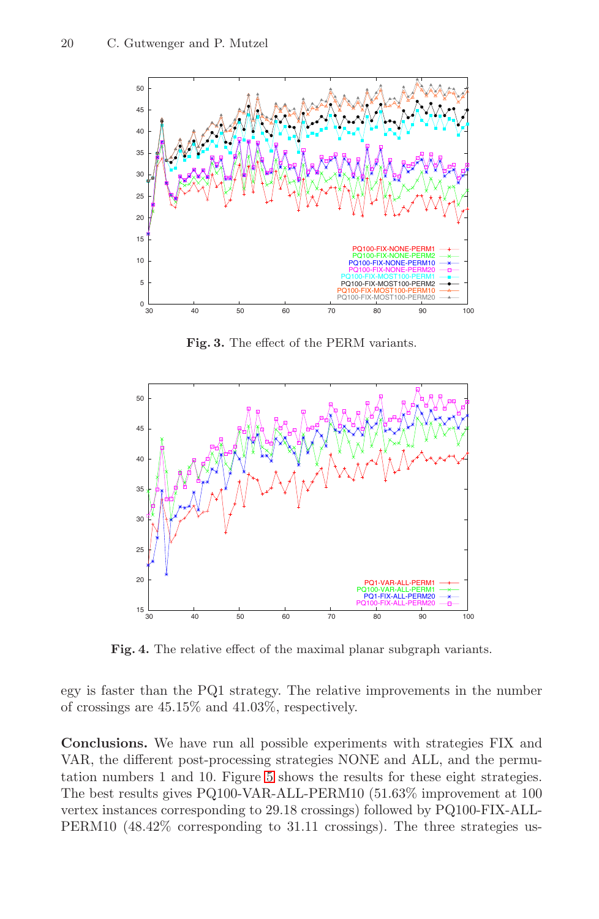<span id="page-7-0"></span>

**Fig. 3.** The effect of the PERM variants.



**Fig. 4.** The relative effect of the maximal planar subgraph variants.

egy is faster than the PQ1 strategy. The relative improvements in the number of crossings are 45.15% and 41.03%, respectively.

**Conclusions.** We have run all possible experiments with strategies FIX and VAR, the different post-processing strategies NONE and ALL, and the permutation numbers 1 and 10. Figure [5](#page-8-0) shows the results for these eight strategies. The best results gives PQ100-VAR-ALL-PERM10 (51.63% improvement at 100 vertex instances corresponding to 29.18 crossings) followed by PQ100-FIX-ALL-PERM10 (48.42% corresponding to 31.11 crossings). The three strategies us-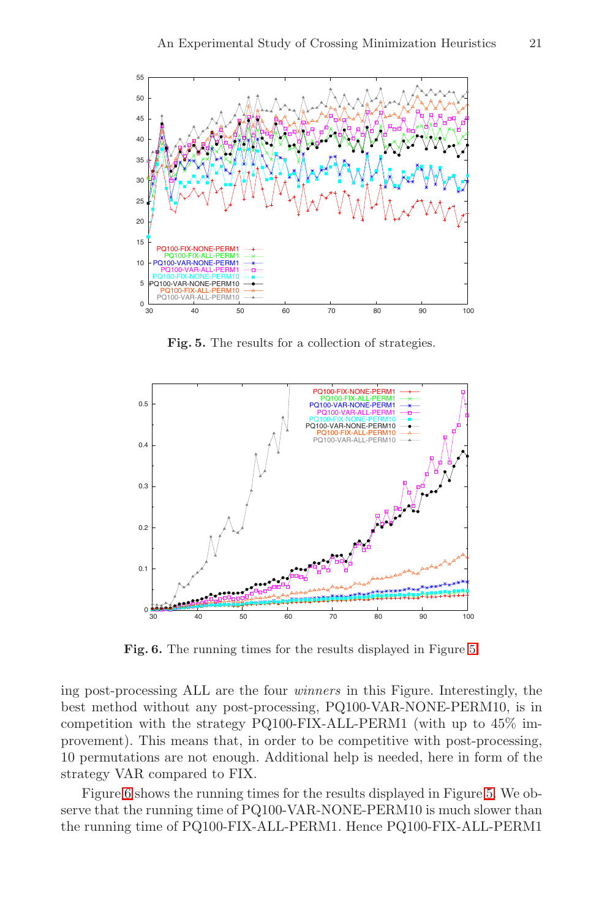<span id="page-8-0"></span>

**Fig. 5.** The results for a collection of strategies.



**Fig. 6.** The running times for the results displayed in Figure 5.

ing post-processing ALL are the four winners in this Figure. Interestingly, the best method without any post-processing, PQ100-VAR-NONE-PERM10, is in competition with the strategy PQ100-FIX-ALL-PERM1 (with up to 45% improvement). This means that, in order to be competitive with post-processing, 10 permutations are not enough. Additional help is needed, here in form of the strategy VAR compared to FIX.

Figure 6 shows the running times for the results displayed in Figure 5. We observe that the running time of PQ100-VAR-NONE-PERM10 is much slower than the running time of PQ100-FIX-ALL-PERM1. Hence PQ100-FIX-ALL-PERM1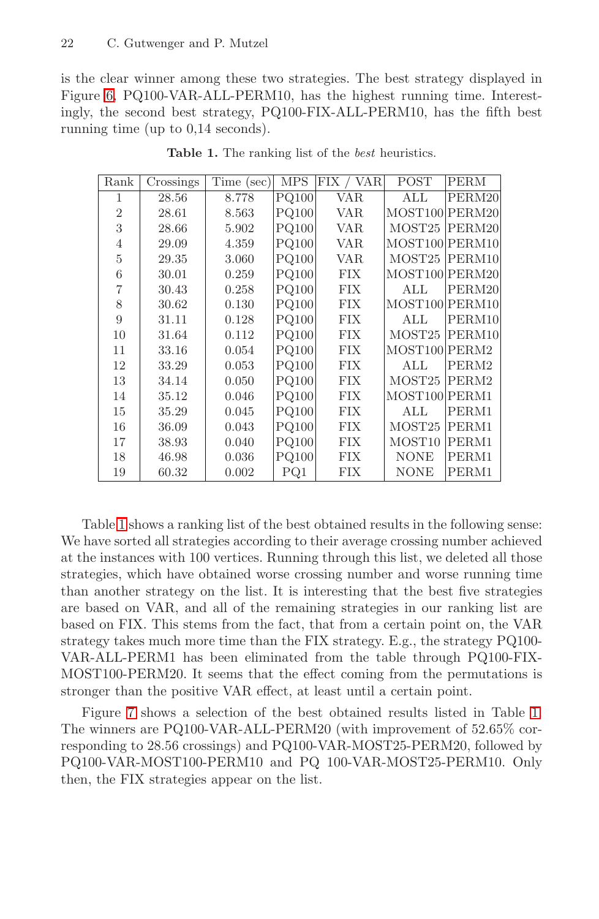<span id="page-9-0"></span>is the clear winner among these two strategies. The best strategy displayed in Figure [6,](#page-8-0) PQ100-VAR-ALL-PERM10, has the highest running time. Interestingly, the second best strategy, PQ100-FIX-ALL-PERM10, has the fifth best running time (up to 0,14 seconds).

| Rank           | Crossings | Time (sec) | <b>MPS</b>   | FIX / VAR  | POST               | <b>PERM</b> |
|----------------|-----------|------------|--------------|------------|--------------------|-------------|
|                | 28.56     | 8.778      | PQ100        | VAR.       | ALL                | PERM20      |
| $\overline{2}$ | 28.61     | 8.563      | PQ100        | <b>VAR</b> | MOST100 PERM20     |             |
| 3              | 28.66     | 5.902      | <b>PQ100</b> | VAR        | MOST <sub>25</sub> | PERM20      |
| 4              | 29.09     | 4.359      | <b>PQ100</b> | <b>VAR</b> | MOST100 PERM10     |             |
| 5              | 29.35     | 3.060      | PQ100        | <b>VAR</b> | MOST25             | PERM10      |
| 6              | 30.01     | 0.259      | PQ100        | <b>FIX</b> | MOST100 PERM20     |             |
| 7              | 30.43     | 0.258      | PQ100        | <b>FIX</b> | ALL                | PERM20      |
| 8              | 30.62     | 0.130      | PQ100        | <b>FIX</b> | MOST100 PERM10     |             |
| 9              | 31.11     | 0.128      | <b>PQ100</b> | FIX        | ALL                | PERM10      |
| 10             | 31.64     | 0.112      | PQ100        | <b>FIX</b> | MOST25             | PERM10      |
| 11             | 33.16     | 0.054      | <b>PQ100</b> | <b>FIX</b> | MOST100 PERM2      |             |
| 12             | 33.29     | 0.053      | PQ100        | <b>FIX</b> | ALL                | PERM2       |
| 13             | 34.14     | 0.050      | PQ100        | <b>FIX</b> | MOST25             | PERM2       |
| 14             | 35.12     | 0.046      | PQ100        | <b>FIX</b> | MOST100 PERM1      |             |
| 15             | 35.29     | 0.045      | PQ100        | <b>FIX</b> | ALL                | PERM1       |
| 16             | 36.09     | 0.043      | PQ100        | <b>FIX</b> | MOST25             | PERM1       |
| 17             | 38.93     | 0.040      | PQ100        | FIX        | MOST <sub>10</sub> | PERM1       |
| 18             | 46.98     | 0.036      | PQ100        | <b>FIX</b> | <b>NONE</b>        | PERM1       |
| 19             | 60.32     | 0.002      | PQ1          | FIX        | <b>NONE</b>        | PERM1       |

Table 1. The ranking list of the *best* heuristics.

Table 1 shows a ranking list of the best obtained results in the following sense: We have sorted all strategies according to their average crossing number achieved at the instances with 100 vertices. Running through this list, we deleted all those strategies, which have obtained worse crossing number and worse running time than another strategy on the list. It is interesting that the best five strategies are based on VAR, and all of the remaining strategies in our ranking list are based on FIX. This stems from the fact, that from a certain point on, the VAR strategy takes much more time than the FIX strategy. E.g., the strategy PQ100- VAR-ALL-PERM1 has been eliminated from the table through PQ100-FIX-MOST100-PERM20. It seems that the effect coming from the permutations is stronger than the positive VAR effect, at least until a certain point.

Figure [7](#page-10-0) shows a selection of the best obtained results listed in Table 1. The winners are PQ100-VAR-ALL-PERM20 (with improvement of 52.65% corresponding to 28.56 crossings) and PQ100-VAR-MOST25-PERM20, followed by PQ100-VAR-MOST100-PERM10 and PQ 100-VAR-MOST25-PERM10. Only then, the FIX strategies appear on the list.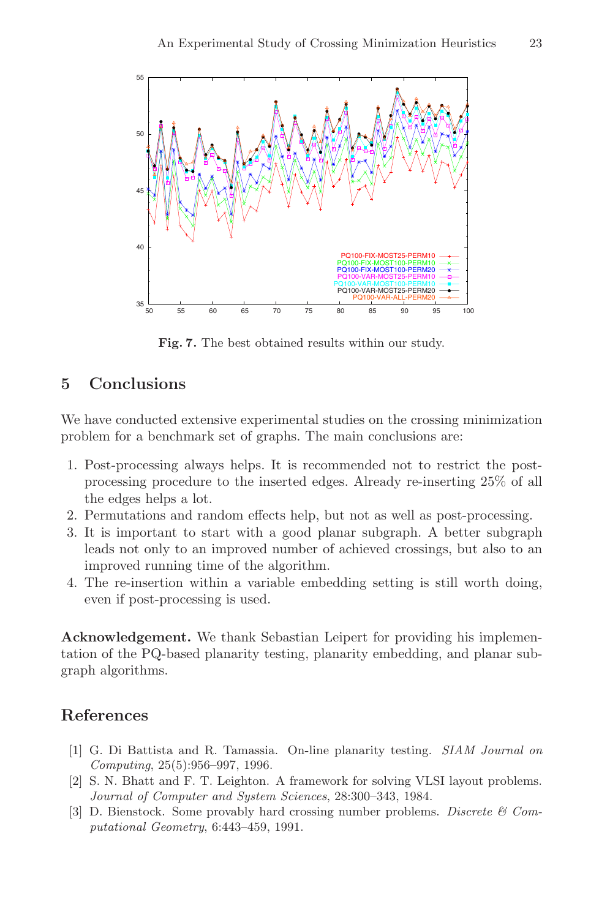<span id="page-10-0"></span>

**Fig. 7.** The best obtained results within our study.

# **5 Conclusions**

We have conducted extensive experimental studies on the crossing minimization problem for a benchmark set of graphs. The main conclusions are:

- 1. Post-processing always helps. It is recommended not to restrict the postprocessing procedure to the inserted edges. Already re-inserting 25% of all the edges helps a lot.
- 2. Permutations and random effects help, but not as well as post-processing.
- 3. It is important to start with a good planar subgraph. A better subgraph leads not only to an improved number of achieved crossings, but also to an improved running time of the algorithm.
- 4. The re-insertion within a variable embedding setting is still worth doing, even if post-processing is used.

**Acknowledgement.** We thank Sebastian Leipert for providing his implementation of the PQ-based planarity testing, planarity embedding, and planar subgraph algorithms.

# **References**

- [1] G. Di Battista and R. Tamassia. On-line planarity testing. SIAM Journal on Computing, 25(5):956–997, 1996.
- [2] S. N. Bhatt and F. T. Leighton. A framework for solving VLSI layout problems. Journal of Computer and System Sciences, 28:300–343, 1984.
- [3] D. Bienstock. Some provably hard crossing number problems. Discrete  $\mathcal C$  Computational Geometry, 6:443–459, 1991.